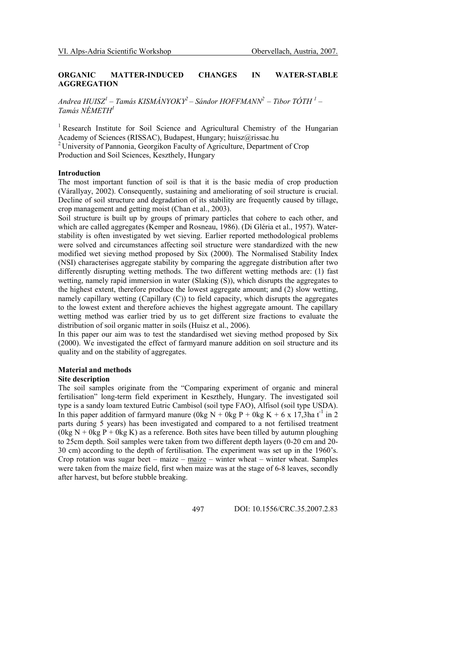# ORGANIC MATTER-INDUCED CHANGES IN WATER-STABLE **AGGREGATION**

Andrea HUISZ $^{\prime}$  – Tamás KISMÁNYOKY $^2$  – Sándor HOFFMANN $^2$  – Tibor TÓTH  $^{\prime}$  – Tamás NÉMETH<sup>1</sup>

<sup>1</sup> Research Institute for Soil Science and Agricultural Chemistry of the Hungarian Academy of Sciences (RISSAC), Budapest, Hungary; huisz@rissac.hu <sup>2</sup> University of Pannonia, Georgikon Faculty of Agriculture, Department of Crop

Production and Soil Sciences, Keszthely, Hungary

## Introduction

The most important function of soil is that it is the basic media of crop production (Várallyay, 2002). Consequently, sustaining and ameliorating of soil structure is crucial. Decline of soil structure and degradation of its stability are frequently caused by tillage, crop management and getting moist (Chan et al., 2003).

Soil structure is built up by groups of primary particles that cohere to each other, and which are called aggregates (Kemper and Rosneau, 1986). (Di Gléria et al., 1957). Waterstability is often investigated by wet sieving. Earlier reported methodological problems were solved and circumstances affecting soil structure were standardized with the new modified wet sieving method proposed by Six (2000). The Normalised Stability Index (NSI) characterises aggregate stability by comparing the aggregate distribution after two differently disrupting wetting methods. The two different wetting methods are: (1) fast wetting, namely rapid immersion in water (Slaking (S)), which disrupts the aggregates to the highest extent, therefore produce the lowest aggregate amount; and (2) slow wetting, namely capillary wetting (Capillary (C)) to field capacity, which disrupts the aggregates to the lowest extent and therefore achieves the highest aggregate amount. The capillary wetting method was earlier tried by us to get different size fractions to evaluate the distribution of soil organic matter in soils (Huisz et al., 2006).

In this paper our aim was to test the standardised wet sieving method proposed by Six (2000). We investigated the effect of farmyard manure addition on soil structure and its quality and on the stability of aggregates.

## Material and methods

## Site description

The soil samples originate from the "Comparing experiment of organic and mineral fertilisation" long-term field experiment in Keszthely, Hungary. The investigated soil type is a sandy loam textured Eutric Cambisol (soil type FAO), Alfisol (soil type USDA). In this paper addition of farmyard manure (0kg N + 0kg P + 0kg K + 6 x 17,3ha t<sup>-1</sup> in 2 parts during 5 years) has been investigated and compared to a not fertilised treatment (0kg N + 0kg P + 0kg K) as a reference. Both sites have been tilled by autumn ploughing to 25cm depth. Soil samples were taken from two different depth layers (0-20 cm and 20- 30 cm) according to the depth of fertilisation. The experiment was set up in the 1960's. Crop rotation was sugar beet – maize – maize – winter wheat – winter wheat. Samples were taken from the maize field, first when maize was at the stage of 6-8 leaves, secondly after harvest, but before stubble breaking.

497 DOI: 10.1556/CRC.35.2007.2.83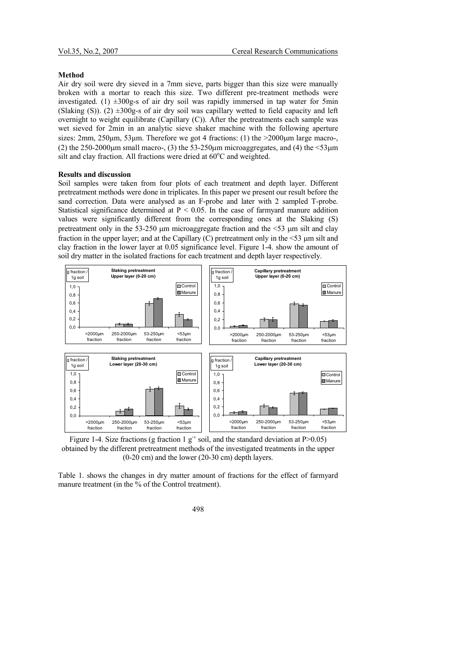#### Method

Air dry soil were dry sieved in a 7mm sieve, parts bigger than this size were manually broken with a mortar to reach this size. Two different pre-treatment methods were investigated. (1)  $\pm 300$ g-s of air dry soil was rapidly immersed in tap water for 5min (Slaking (S)). (2)  $\pm 300$ g-s of air dry soil was capillary wetted to field capacity and left overnight to weight equilibrate (Capillary (C)). After the pretreatments each sample was wet sieved for 2min in an analytic sieve shaker machine with the following aperture sizes: 2mm,  $250\mu$ m,  $53\mu$ m. Therefore we got 4 fractions: (1) the  $>2000\mu$ m large macro-, (2) the  $250-2000 \mu m$  small macro-, (3) the  $53-250 \mu m$  microaggregates, and (4) the  $\leq 53 \mu m$ silt and clay fraction. All fractions were dried at  $60^{\circ}$ C and weighted.

#### Results and discussion

Soil samples were taken from four plots of each treatment and depth layer. Different pretreatment methods were done in triplicates. In this paper we present our result before the sand correction. Data were analysed as an F-probe and later with 2 sampled T-probe. Statistical significance determined at  $P < 0.05$ . In the case of farmyard manure addition values were significantly different from the corresponding ones at the Slaking (S) pretreatment only in the 53-250  $\mu$ m microaggregate fraction and the  $\leq$ 53  $\mu$ m silt and clay fraction in the upper layer; and at the Capillary (C) pretreatment only in the <53 µm silt and clay fraction in the lower layer at 0.05 significance level. Figure 1-4. show the amount of soil dry matter in the isolated fractions for each treatment and depth layer respectively.



Figure 1-4. Size fractions (g fraction 1  $g^{-1}$  soil, and the standard deviation at P>0.05) obtained by the different pretreatment methods of the investigated treatments in the upper (0-20 cm) and the lower (20-30 cm) depth layers.

Table 1. shows the changes in dry matter amount of fractions for the effect of farmyard manure treatment (in the % of the Control treatment).

498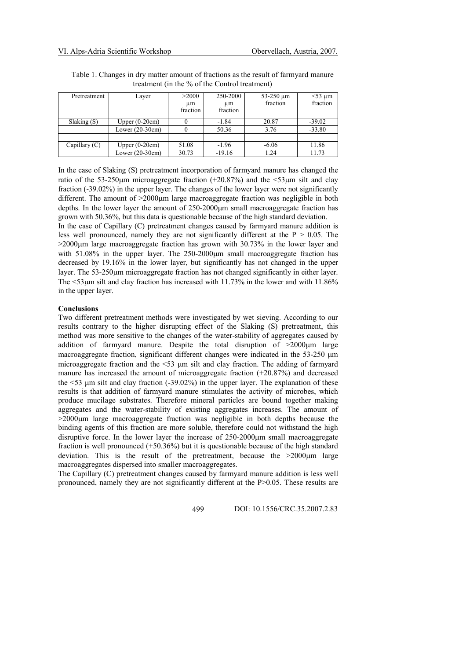| Pretreatment    | Layer             | >2000    | 250-2000 | $53-250 \mu m$ | $<$ 53 µm |
|-----------------|-------------------|----------|----------|----------------|-----------|
|                 |                   | um       | um       | fraction       | fraction  |
|                 |                   | fraction | fraction |                |           |
| Slaking(S)      | Upper $(0-20cm)$  | 0        | $-1.84$  | 20.87          | $-39.02$  |
|                 | Lower $(20-30cm)$ | $\theta$ | 50.36    | 3.76           | $-33.80$  |
|                 |                   |          |          |                |           |
| Capillary $(C)$ | Upper $(0-20cm)$  | 51.08    | $-1.96$  | $-6.06$        | 11.86     |
|                 | Lower $(20-30cm)$ | 30.73    | $-19.16$ | 1.24           | 11.73     |

Table 1. Changes in dry matter amount of fractions as the result of farmyard manure treatment (in the % of the Control treatment)

In the case of Slaking (S) pretreatment incorporation of farmyard manure has changed the ratio of the 53-250 um microaggregate fraction  $(+20.87%)$  and the  $\leq$ 53 um silt and clay fraction (-39.02%) in the upper layer. The changes of the lower layer were not significantly different. The amount of  $>2000\mu m$  large macroaggregate fraction was negligible in both depths. In the lower layer the amount of 250-2000<sub>um</sub> small macroaggregate fraction has grown with 50.36%, but this data is questionable because of the high standard deviation.

In the case of Capillary (C) pretreatment changes caused by farmyard manure addition is less well pronounced, namely they are not significantly different at the  $P > 0.05$ . The >2000µm large macroaggregate fraction has grown with 30.73% in the lower layer and with 51.08% in the upper layer. The 250-2000um small macroaggregate fraction has decreased by 19.16% in the lower layer, but significantly has not changed in the upper layer. The 53-250µm microaggregate fraction has not changed significantly in either layer. The <53µm silt and clay fraction has increased with 11.73% in the lower and with 11.86% in the upper layer.

# **Conclusions**

Two different pretreatment methods were investigated by wet sieving. According to our results contrary to the higher disrupting effect of the Slaking (S) pretreatment, this method was more sensitive to the changes of the water-stability of aggregates caused by addition of farmyard manure. Despite the total disruption of  $>2000 \mu m$  large macroaggregate fraction, significant different changes were indicated in the 53-250  $\mu$ m microaggregate fraction and the <53 µm silt and clay fraction. The adding of farmyard manure has increased the amount of microaggregate fraction (+20.87%) and decreased the  $\leq$ 53  $\mu$ m silt and clay fraction (-39.02%) in the upper layer. The explanation of these results is that addition of farmyard manure stimulates the activity of microbes, which produce mucilage substrates. Therefore mineral particles are bound together making aggregates and the water-stability of existing aggregates increases. The amount of  $>2000\mu$ m large macroaggregate fraction was negligible in both depths because the binding agents of this fraction are more soluble, therefore could not withstand the high disruptive force. In the lower layer the increase of 250-2000µm small macroaggregate fraction is well pronounced  $(+50.36%)$  but it is questionable because of the high standard deviation. This is the result of the pretreatment, because the >2000µm large macroaggregates dispersed into smaller macroaggregates.

The Capillary (C) pretreatment changes caused by farmyard manure addition is less well pronounced, namely they are not significantly different at the P>0.05. These results are

499 DOI: 10.1556/CRC.35.2007.2.83